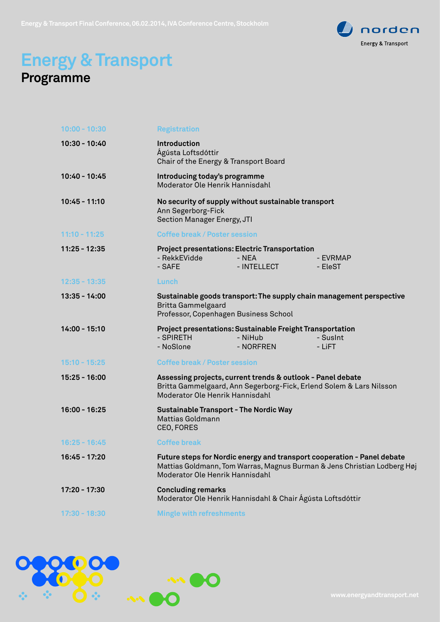

## **Energy & Transport Programme**

| $10:00 - 10:30$ | <b>Registration</b>                                                                                                                                                                    |
|-----------------|----------------------------------------------------------------------------------------------------------------------------------------------------------------------------------------|
| $10:30 - 10:40$ | Introduction<br>Ágústa Loftsdóttir<br>Chair of the Energy & Transport Board                                                                                                            |
| 10:40 - 10:45   | Introducing today's programme<br>Moderator Ole Henrik Hannisdahl                                                                                                                       |
| $10:45 - 11:10$ | No security of supply without sustainable transport<br>Ann Segerborg-Fick<br>Section Manager Energy, JTI                                                                               |
| $11:10 - 11:25$ | <b>Coffee break / Poster session</b>                                                                                                                                                   |
| $11:25 - 12:35$ | <b>Project presentations: Electric Transportation</b><br>- NEA<br>- RekkEVidde<br>- EVRMAP<br>- SAFE<br>- INTELLECT<br>- EleST                                                         |
| $12:35 - 13:35$ | Lunch                                                                                                                                                                                  |
| $13:35 - 14:00$ | Sustainable goods transport: The supply chain management perspective<br><b>Britta Gammelgaard</b><br>Professor, Copenhagen Business School                                             |
| $14:00 - 15:10$ | <b>Project presentations: Sustainable Freight Transportation</b><br>- SPIRETH<br>- NiHub<br>- SusInt<br>- NoSlone<br>- NORFREN<br>- LiFT                                               |
| $15:10 - 15:25$ | <b>Coffee break / Poster session</b>                                                                                                                                                   |
| 15:25 - 16:00   | Assessing projects, current trends & outlook - Panel debate<br>Britta Gammelgaard, Ann Segerborg-Fick, Erlend Solem & Lars Nilsson<br>Moderator Ole Henrik Hannisdahl                  |
| $16:00 - 16:25$ | <b>Sustainable Transport - The Nordic Way</b><br><b>Mattias Goldmann</b><br>CEO, FORES                                                                                                 |
| $16:25 - 16:45$ | <b>Coffee break</b>                                                                                                                                                                    |
| $16:45 - 17:20$ | Future steps for Nordic energy and transport cooperation - Panel debate<br>Mattias Goldmann, Tom Warras, Magnus Burman & Jens Christian Lodberg Høj<br>Moderator Ole Henrik Hannisdahl |
| 17:20 - 17:30   | <b>Concluding remarks</b><br>Moderator Ole Henrik Hannisdahl & Chair Ágústa Loftsdóttir                                                                                                |
| $17:30 - 18:30$ | <b>Mingle with refreshments</b>                                                                                                                                                        |
|                 |                                                                                                                                                                                        |

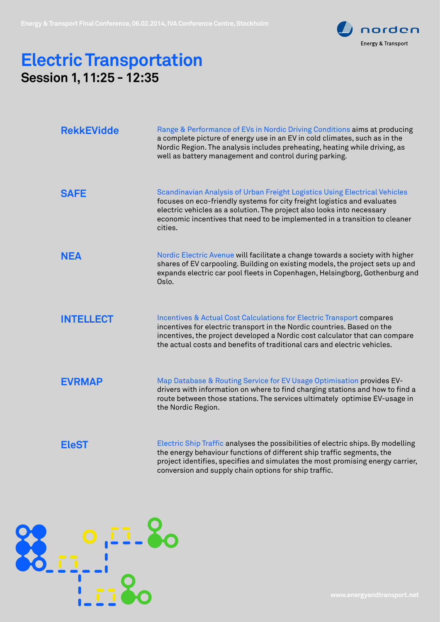

## **Electric Transportation Session 1, 11:25 - 12:35**

| <b>RekkEVidde</b> | Range & Performance of EVs in Nordic Driving Conditions aims at producing<br>a complete picture of energy use in an EV in cold climates, such as in the<br>Nordic Region. The analysis includes preheating, heating while driving, as<br>well as battery management and control during parking.                           |
|-------------------|---------------------------------------------------------------------------------------------------------------------------------------------------------------------------------------------------------------------------------------------------------------------------------------------------------------------------|
| <b>SAFE</b>       | Scandinavian Analysis of Urban Freight Logistics Using Electrical Vehicles<br>focuses on eco-friendly systems for city freight logistics and evaluates<br>electric vehicles as a solution. The project also looks into necessary<br>economic incentives that need to be implemented in a transition to cleaner<br>cities. |
| <b>NEA</b>        | Nordic Electric Avenue will facilitate a change towards a society with higher<br>shares of EV carpooling. Building on existing models, the project sets up and<br>expands electric car pool fleets in Copenhagen, Helsingborg, Gothenburg and<br>Oslo.                                                                    |
| <b>INTELLECT</b>  | Incentives & Actual Cost Calculations for Electric Transport compares<br>incentives for electric transport in the Nordic countries. Based on the<br>incentives, the project developed a Nordic cost calculator that can compare<br>the actual costs and benefits of traditional cars and electric vehicles.               |
| <b>EVRMAP</b>     | Map Database & Routing Service for EV Usage Optimisation provides EV-<br>drivers with information on where to find charging stations and how to find a<br>route between those stations. The services ultimately optimise EV-usage in<br>the Nordic Region.                                                                |
| <b>EleST</b>      | Electric Ship Traffic analyses the possibilities of electric ships. By modelling<br>the energy behaviour functions of different ship traffic segments, the<br>project identifies, specifies and simulates the most promising energy carrier,<br>conversion and supply chain options for ship traffic.                     |

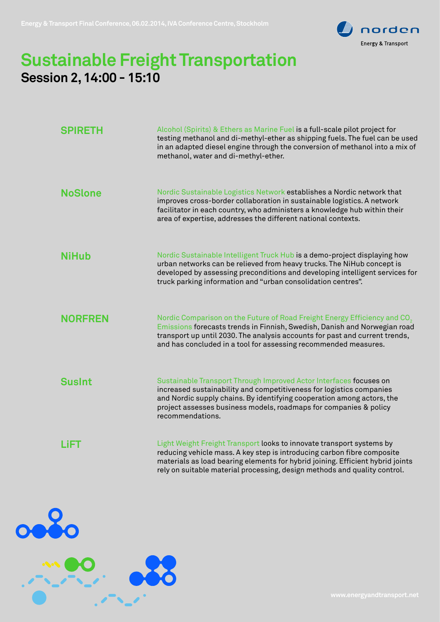

## **Sustainable Freight Transportation Session 2, 14:00 - 15:10**

| <b>SPIRETH</b> | Alcohol (Spirits) & Ethers as Marine Fuel is a full-scale pilot project for<br>testing methanol and di-methyl-ether as shipping fuels. The fuel can be used<br>in an adapted diesel engine through the conversion of methanol into a mix of<br>methanol, water and di-methyl-ether.                                  |
|----------------|----------------------------------------------------------------------------------------------------------------------------------------------------------------------------------------------------------------------------------------------------------------------------------------------------------------------|
| <b>NoSlone</b> | Nordic Sustainable Logistics Network establishes a Nordic network that<br>improves cross-border collaboration in sustainable logistics. A network<br>facilitator in each country, who administers a knowledge hub within their<br>area of expertise, addresses the different national contexts.                      |
| <b>NiHub</b>   | Nordic Sustainable Intelligent Truck Hub is a demo-project displaying how<br>urban networks can be relieved from heavy trucks. The NiHub concept is<br>developed by assessing preconditions and developing intelligent services for<br>truck parking information and "urban consolidation centres".                  |
| <b>NORFREN</b> | Nordic Comparison on the Future of Road Freight Energy Efficiency and CO <sub>2</sub><br>Emissions forecasts trends in Finnish, Swedish, Danish and Norwegian road<br>transport up until 2030. The analysis accounts for past and current trends,<br>and has concluded in a tool for assessing recommended measures. |
| <b>SusInt</b>  | Sustainable Transport Through Improved Actor Interfaces focuses on<br>increased sustainability and competitiveness for logistics companies<br>and Nordic supply chains. By identifying cooperation among actors, the<br>project assesses business models, roadmaps for companies & policy<br>recommendations.        |
| LiFT           | Light Weight Freight Transport looks to innovate transport systems by<br>reducing vehicle mass. A key step is introducing carbon fibre composite<br>materials as load bearing elements for hybrid joining. Efficient hybrid joints<br>rely on suitable material processing, design methods and quality control.      |